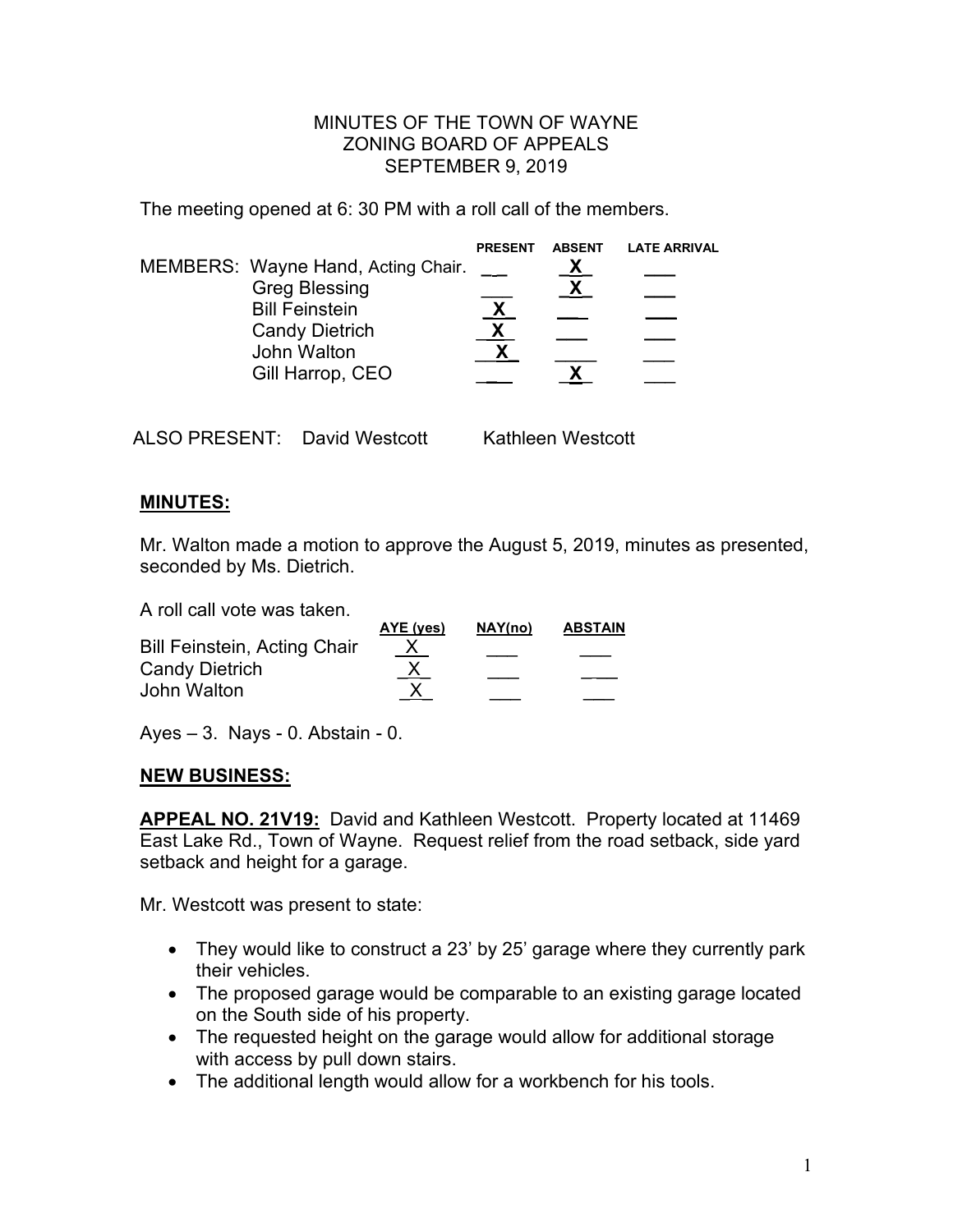## MINUTES OF THE TOWN OF WAYNE ZONING BOARD OF APPEALS SEPTEMBER 9, 2019

The meeting opened at 6: 30 PM with a roll call of the members.

|                                                                                                                                                 | <b>PRESENT</b> | <b>ABSENT</b> | <b>LATE ARRIVAL</b> |
|-------------------------------------------------------------------------------------------------------------------------------------------------|----------------|---------------|---------------------|
| MEMBERS: Wayne Hand, Acting Chair.<br><b>Greg Blessing</b><br><b>Bill Feinstein</b><br><b>Candy Dietrich</b><br>John Walton<br>Gill Harrop, CEO | <u>Х</u>       |               |                     |
|                                                                                                                                                 |                |               |                     |

ALSO PRESENT: David Westcott Kathleen Westcott

## **MINUTES:**

Mr. Walton made a motion to approve the August 5, 2019, minutes as presented, seconded by Ms. Dietrich.

A roll call vote was taken.

| AYE (yes) | NAY(no)   | <b>ABSTAIN</b> |
|-----------|-----------|----------------|
|           |           |                |
|           |           |                |
|           |           |                |
|           | <u>_X</u> |                |

Ayes  $-3$ . Nays - 0. Abstain - 0.

## **NEW BUSINESS:**

**APPEAL NO. 21V19:** David and Kathleen Westcott. Property located at 11469 East Lake Rd., Town of Wayne. Request relief from the road setback, side yard setback and height for a garage.

Mr. Westcott was present to state:

- They would like to construct a 23' by 25' garage where they currently park their vehicles.
- The proposed garage would be comparable to an existing garage located on the South side of his property.
- The requested height on the garage would allow for additional storage with access by pull down stairs.
- The additional length would allow for a workbench for his tools.